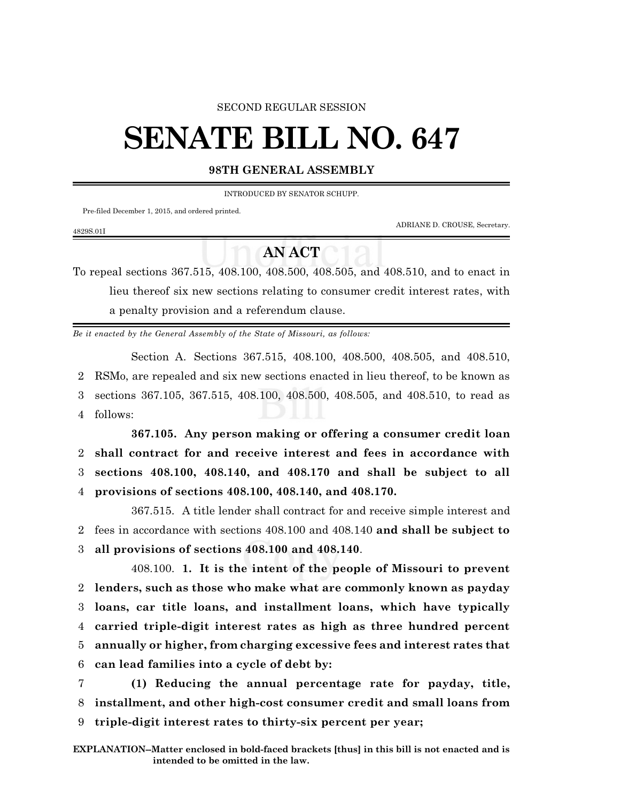### SECOND REGULAR SESSION

# **SENATE BILL NO. 647**

# **98TH GENERAL ASSEMBLY**

INTRODUCED BY SENATOR SCHUPP.

Pre-filed December 1, 2015, and ordered printed.

4829S.01I

ADRIANE D. CROUSE, Secretary.

# **AN ACT**

To repeal sections 367.515, 408.100, 408.500, 408.505, and 408.510, and to enact in lieu thereof six new sections relating to consumer credit interest rates, with a penalty provision and a referendum clause.

*Be it enacted by the General Assembly of the State of Missouri, as follows:*

Section A. Sections 367.515, 408.100, 408.500, 408.505, and 408.510, 2 RSMo, are repealed and six new sections enacted in lieu thereof, to be known as 3 sections 367.105, 367.515, 408.100, 408.500, 408.505, and 408.510, to read as 4 follows:

**367.105. Any person making or offering a consumer credit loan shall contract for and receive interest and fees in accordance with sections 408.100, 408.140, and 408.170 and shall be subject to all provisions of sections 408.100, 408.140, and 408.170.**

367.515. A title lender shall contract for and receive simple interest and 2 fees in accordance with sections 408.100 and 408.140 **and shall be subject to** 3 **all provisions of sections 408.100 and 408.140**.

408.100. **1. It is the intent of the people of Missouri to prevent lenders, such as those who make what are commonly known as payday loans, car title loans, and installment loans, which have typically carried triple-digit interest rates as high as three hundred percent annually or higher, from charging excessive fees and interest rates that can lead families into a cycle of debt by:**

7 **(1) Reducing the annual percentage rate for payday, title,** 8 **installment, and other high-cost consumer credit and small loans from** 9 **triple-digit interest rates to thirty-six percent per year;**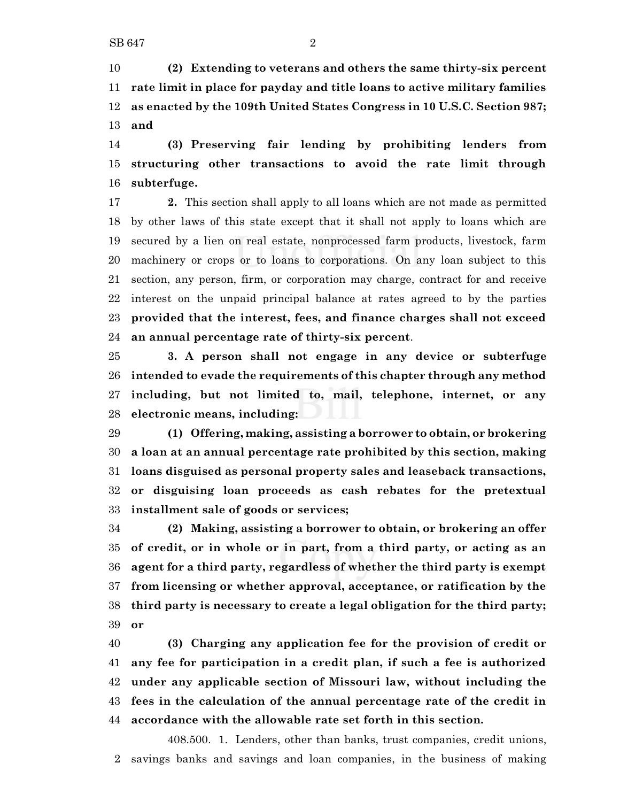**(2) Extending to veterans and others the same thirty-six percent rate limit in place for payday and title loans to active military families as enacted by the 109th United States Congress in 10 U.S.C. Section 987; and**

 **(3) Preserving fair lending by prohibiting lenders from structuring other transactions to avoid the rate limit through subterfuge.**

 **2.** This section shall apply to all loans which are not made as permitted by other laws of this state except that it shall not apply to loans which are secured by a lien on real estate, nonprocessed farm products, livestock, farm machinery or crops or to loans to corporations. On any loan subject to this section, any person, firm, or corporation may charge, contract for and receive interest on the unpaid principal balance at rates agreed to by the parties **provided that the interest, fees, and finance charges shall not exceed an annual percentage rate of thirty-six percent**.

 **3. A person shall not engage in any device or subterfuge intended to evade the requirements of this chapter through any method including, but not limited to, mail, telephone, internet, or any electronic means, including:**

 **(1) Offering, making, assisting a borrower to obtain, or brokering a loan at an annual percentage rate prohibited by this section, making loans disguised as personal property sales and leaseback transactions, or disguising loan proceeds as cash rebates for the pretextual installment sale of goods or services;**

 **(2) Making, assisting a borrower to obtain, or brokering an offer of credit, or in whole or in part, from a third party, or acting as an agent for a third party, regardless of whether the third party is exempt from licensing or whether approval, acceptance, or ratification by the third party is necessary to create a legal obligation for the third party; or**

 **(3) Charging any application fee for the provision of credit or any fee for participation in a credit plan, if such a fee is authorized under any applicable section of Missouri law, without including the fees in the calculation of the annual percentage rate of the credit in accordance with the allowable rate set forth in this section.**

408.500. 1. Lenders, other than banks, trust companies, credit unions, savings banks and savings and loan companies, in the business of making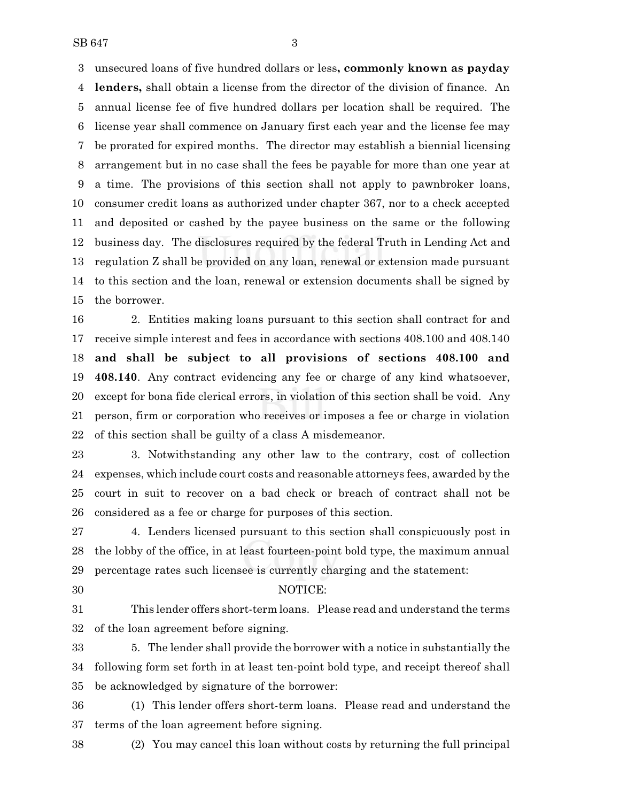unsecured loans of five hundred dollars or less**, commonly known as payday lenders,** shall obtain a license from the director of the division of finance. An annual license fee of five hundred dollars per location shall be required. The license year shall commence on January first each year and the license fee may be prorated for expired months. The director may establish a biennial licensing arrangement but in no case shall the fees be payable for more than one year at a time. The provisions of this section shall not apply to pawnbroker loans, consumer credit loans as authorized under chapter 367, nor to a check accepted and deposited or cashed by the payee business on the same or the following business day. The disclosures required by the federal Truth in Lending Act and regulation Z shall be provided on any loan, renewal or extension made pursuant to this section and the loan, renewal or extension documents shall be signed by the borrower.

 2. Entities making loans pursuant to this section shall contract for and receive simple interest and fees in accordance with sections 408.100 and 408.140 **and shall be subject to all provisions of sections 408.100 and 408.140**. Any contract evidencing any fee or charge of any kind whatsoever, except for bona fide clerical errors, in violation of this section shall be void. Any person, firm or corporation who receives or imposes a fee or charge in violation of this section shall be guilty of a class A misdemeanor.

 3. Notwithstanding any other law to the contrary, cost of collection expenses, which include court costs and reasonable attorneys fees, awarded by the court in suit to recover on a bad check or breach of contract shall not be considered as a fee or charge for purposes of this section.

 4. Lenders licensed pursuant to this section shall conspicuously post in the lobby of the office, in at least fourteen-point bold type, the maximum annual percentage rates such licensee is currently charging and the statement:

## NOTICE:

 This lender offers short-term loans. Please read and understand the terms of the loan agreement before signing.

 5. The lender shall provide the borrower with a notice in substantially the following form set forth in at least ten-point bold type, and receipt thereof shall be acknowledged by signature of the borrower:

 (1) This lender offers short-term loans. Please read and understand the terms of the loan agreement before signing.

(2) You may cancel this loan without costs by returning the full principal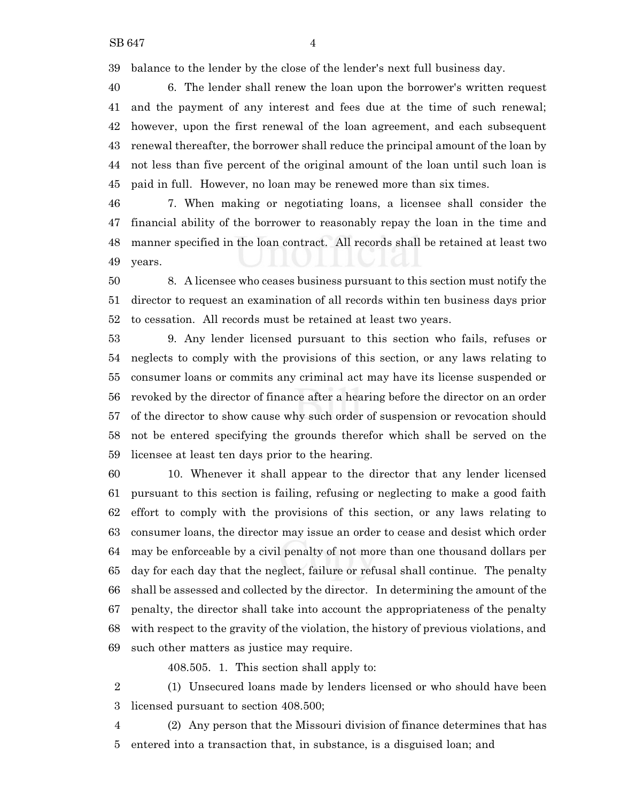balance to the lender by the close of the lender's next full business day.

 6. The lender shall renew the loan upon the borrower's written request and the payment of any interest and fees due at the time of such renewal; however, upon the first renewal of the loan agreement, and each subsequent renewal thereafter, the borrower shall reduce the principal amount of the loan by not less than five percent of the original amount of the loan until such loan is paid in full. However, no loan may be renewed more than six times.

 7. When making or negotiating loans, a licensee shall consider the financial ability of the borrower to reasonably repay the loan in the time and manner specified in the loan contract. All records shall be retained at least two years.

 8. A licensee who ceases business pursuant to this section must notify the director to request an examination of all records within ten business days prior to cessation. All records must be retained at least two years.

 9. Any lender licensed pursuant to this section who fails, refuses or neglects to comply with the provisions of this section, or any laws relating to consumer loans or commits any criminal act may have its license suspended or revoked by the director of finance after a hearing before the director on an order of the director to show cause why such order of suspension or revocation should not be entered specifying the grounds therefor which shall be served on the licensee at least ten days prior to the hearing.

 10. Whenever it shall appear to the director that any lender licensed pursuant to this section is failing, refusing or neglecting to make a good faith effort to comply with the provisions of this section, or any laws relating to consumer loans, the director may issue an order to cease and desist which order may be enforceable by a civil penalty of not more than one thousand dollars per day for each day that the neglect, failure or refusal shall continue. The penalty shall be assessed and collected by the director. In determining the amount of the penalty, the director shall take into account the appropriateness of the penalty with respect to the gravity of the violation, the history of previous violations, and such other matters as justice may require.

408.505. 1. This section shall apply to:

 (1) Unsecured loans made by lenders licensed or who should have been licensed pursuant to section 408.500;

 (2) Any person that the Missouri division of finance determines that has entered into a transaction that, in substance, is a disguised loan; and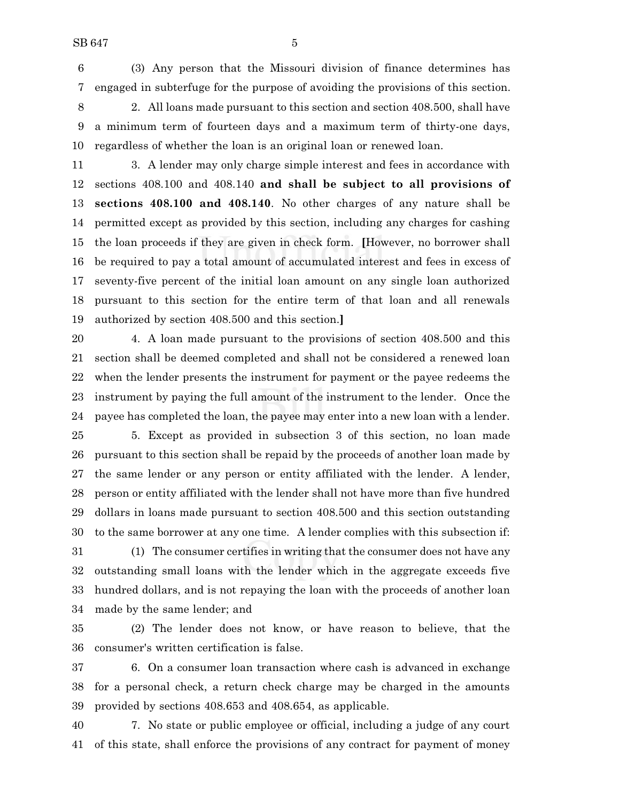(3) Any person that the Missouri division of finance determines has engaged in subterfuge for the purpose of avoiding the provisions of this section.

 2. All loans made pursuant to this section and section 408.500, shall have a minimum term of fourteen days and a maximum term of thirty-one days, regardless of whether the loan is an original loan or renewed loan.

 3. A lender may only charge simple interest and fees in accordance with sections 408.100 and 408.140 **and shall be subject to all provisions of sections 408.100 and 408.140**. No other charges of any nature shall be permitted except as provided by this section, including any charges for cashing the loan proceeds if they are given in check form. **[**However, no borrower shall be required to pay a total amount of accumulated interest and fees in excess of seventy-five percent of the initial loan amount on any single loan authorized pursuant to this section for the entire term of that loan and all renewals authorized by section 408.500 and this section.**]**

 4. A loan made pursuant to the provisions of section 408.500 and this section shall be deemed completed and shall not be considered a renewed loan when the lender presents the instrument for payment or the payee redeems the instrument by paying the full amount of the instrument to the lender. Once the payee has completed the loan, the payee may enter into a new loan with a lender.

 5. Except as provided in subsection 3 of this section, no loan made pursuant to this section shall be repaid by the proceeds of another loan made by the same lender or any person or entity affiliated with the lender. A lender, person or entity affiliated with the lender shall not have more than five hundred dollars in loans made pursuant to section 408.500 and this section outstanding to the same borrower at any one time. A lender complies with this subsection if:

 (1) The consumer certifies in writing that the consumer does not have any outstanding small loans with the lender which in the aggregate exceeds five hundred dollars, and is not repaying the loan with the proceeds of another loan made by the same lender; and

 (2) The lender does not know, or have reason to believe, that the consumer's written certification is false.

 6. On a consumer loan transaction where cash is advanced in exchange for a personal check, a return check charge may be charged in the amounts provided by sections 408.653 and 408.654, as applicable.

 7. No state or public employee or official, including a judge of any court of this state, shall enforce the provisions of any contract for payment of money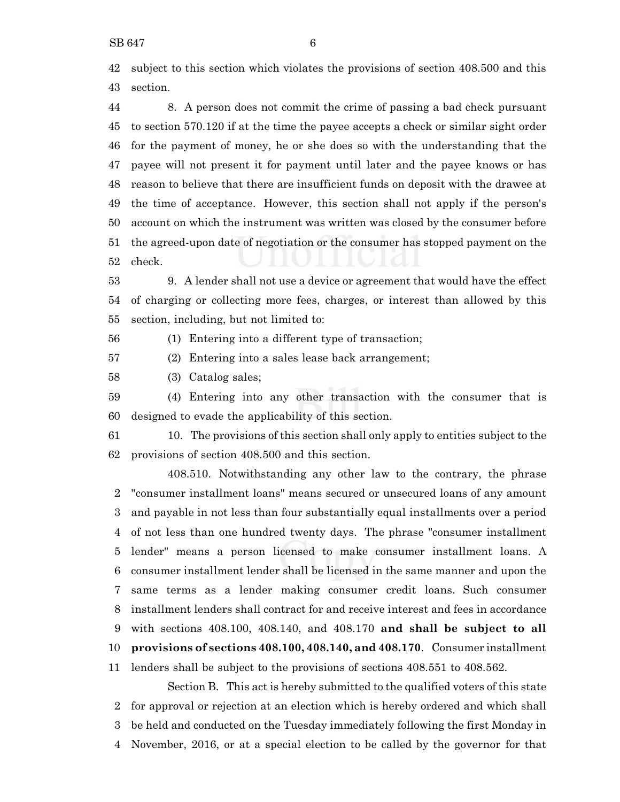subject to this section which violates the provisions of section 408.500 and this section.

 8. A person does not commit the crime of passing a bad check pursuant to section 570.120 if at the time the payee accepts a check or similar sight order for the payment of money, he or she does so with the understanding that the payee will not present it for payment until later and the payee knows or has reason to believe that there are insufficient funds on deposit with the drawee at the time of acceptance. However, this section shall not apply if the person's account on which the instrument was written was closed by the consumer before the agreed-upon date of negotiation or the consumer has stopped payment on the check.

 9. A lender shall not use a device or agreement that would have the effect of charging or collecting more fees, charges, or interest than allowed by this section, including, but not limited to:

(1) Entering into a different type of transaction;

(2) Entering into a sales lease back arrangement;

(3) Catalog sales;

 (4) Entering into any other transaction with the consumer that is designed to evade the applicability of this section.

 10. The provisions of this section shall only apply to entities subject to the provisions of section 408.500 and this section.

408.510. Notwithstanding any other law to the contrary, the phrase "consumer installment loans" means secured or unsecured loans of any amount and payable in not less than four substantially equal installments over a period of not less than one hundred twenty days. The phrase "consumer installment lender" means a person licensed to make consumer installment loans. A consumer installment lender shall be licensed in the same manner and upon the same terms as a lender making consumer credit loans. Such consumer installment lenders shall contract for and receive interest and fees in accordance with sections 408.100, 408.140, and 408.170 **and shall be subject to all provisions of sections 408.100, 408.140, and 408.170**. Consumer installment lenders shall be subject to the provisions of sections 408.551 to 408.562.

Section B. This act is hereby submitted to the qualified voters of this state for approval or rejection at an election which is hereby ordered and which shall be held and conducted on the Tuesday immediately following the first Monday in November, 2016, or at a special election to be called by the governor for that